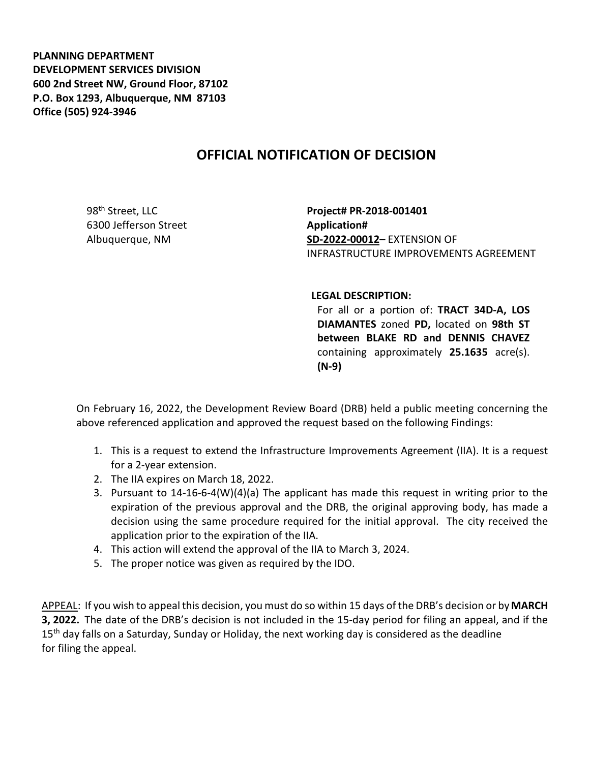**PLANNING DEPARTMENT DEVELOPMENT SERVICES DIVISION 600 2nd Street NW, Ground Floor, 87102 P.O. Box 1293, Albuquerque, NM 87103 Office (505) 924-3946** 

## **OFFICIAL NOTIFICATION OF DECISION**

98<sup>th</sup> Street, LLC 6300 Jefferson Street Albuquerque, NM

**Project# PR-2018-001401 Application# SD-2022-00012–** EXTENSION OF INFRASTRUCTURE IMPROVEMENTS AGREEMENT

## **LEGAL DESCRIPTION:**

For all or a portion of: **TRACT 34D-A, LOS DIAMANTES** zoned **PD,** located on **98th ST between BLAKE RD and DENNIS CHAVEZ**  containing approximately **25.1635** acre(s). **(N-9)**

On February 16, 2022, the Development Review Board (DRB) held a public meeting concerning the above referenced application and approved the request based on the following Findings:

- 1. This is a request to extend the Infrastructure Improvements Agreement (IIA). It is a request for a 2-year extension.
- 2. The IIA expires on March 18, 2022.
- 3. Pursuant to 14-16-6-4(W)(4)(a) The applicant has made this request in writing prior to the expiration of the previous approval and the DRB, the original approving body, has made a decision using the same procedure required for the initial approval. The city received the application prior to the expiration of the IIA.
- 4. This action will extend the approval of the IIA to March 3, 2024.
- 5. The proper notice was given as required by the IDO.

APPEAL: If you wish to appeal this decision, you must do so within 15 days of the DRB's decision or by**MARCH 3, 2022.** The date of the DRB's decision is not included in the 15-day period for filing an appeal, and if the 15<sup>th</sup> day falls on a Saturday, Sunday or Holiday, the next working day is considered as the deadline for filing the appeal.